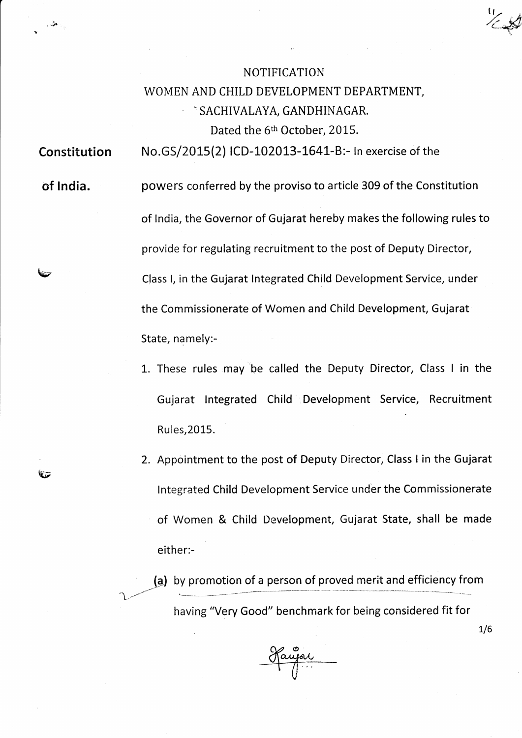## NOTIFICATION WOMEN AND CHILD DEVELOPMENT DEPARTMENT, **SACHIVALAYA, GANDHINAGAR.** Dated the 6<sup>th</sup> October, 2015.

Constitution No.GS/2015(2) ICD-102013-1641-B:- In exercise of the

of India.

 $\blacktriangledown$ 

 $\mathbf{\hat{v}}$ 

 $\sim$ 

t o'l)

powers conferred by the proviso to article 309 of the Constitution of India, the Governor of Gujarat hereby makes the following rules to provide for regulating recruitment to the post of Deputy Director, Class l, in the Gujarat lntegrated Child Development Service, under the Commissionerate of Women and Child Development, Gujarat State, namely:-

- 1. These rules may be called the Deputy Director, Class I in the Gujarat Integrated Child Development Service, Recruitment Rules,2015.
- 2. Appointment to the post of Deputy Director, Class I in the Gujarat Integrated Child Development Service under the Commissionerate of Women & Child Development, Gujarat State, shall be made either:-

(a) by promotion of a person of proved merit and efficiency from having "Very Good" benchmark for being considered fit for

Jaujai

 $1/6$ 

 $\mathfrak{r}$   $\mathfrak{r}$  $rac{1}{2}$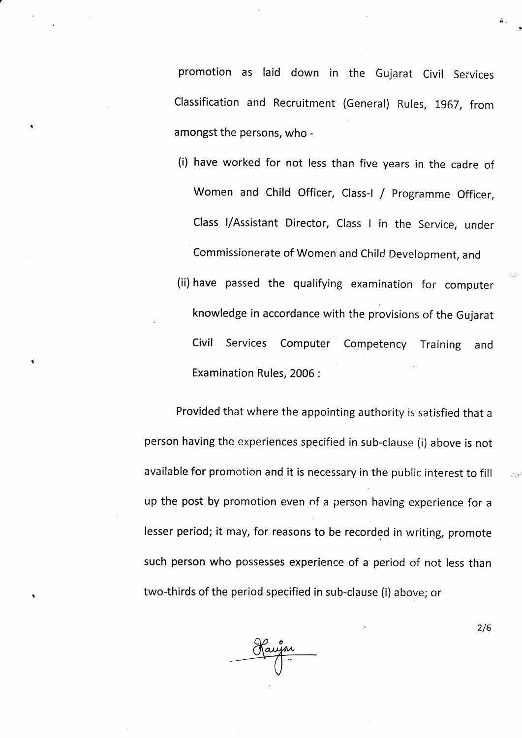promotion as laid down in the Gujarat civil services Classification and Recruitment (General) Rules, 1967, from amongst the persons, who

(i) have worked for not less than five years in the cadre of Women and Child Officer, Class-l / programme Officer, Class I/Assistant Director, Class I in the Service, under Commissionerate of Women and Child Development, and (ii) have passed the qualifying examination for computer knowledge in accordance with the provisions of the Gujarat Civil Services Computer Examination Rules, 2006 : Competency Training and

Provided that where the appointing authority is satisfied that <sup>a</sup> person having the experiences specified in sub-clause (i) above is not available for promotion and it is necessary in the public interest to fill up the post by promotion even of a person having experience for <sup>a</sup> lesser period; it may, for reasons to be recorded in writing, promote such person who possesses experience of a period of not less than two-thirds of the period specified in sub-clause (i) above; or

2/6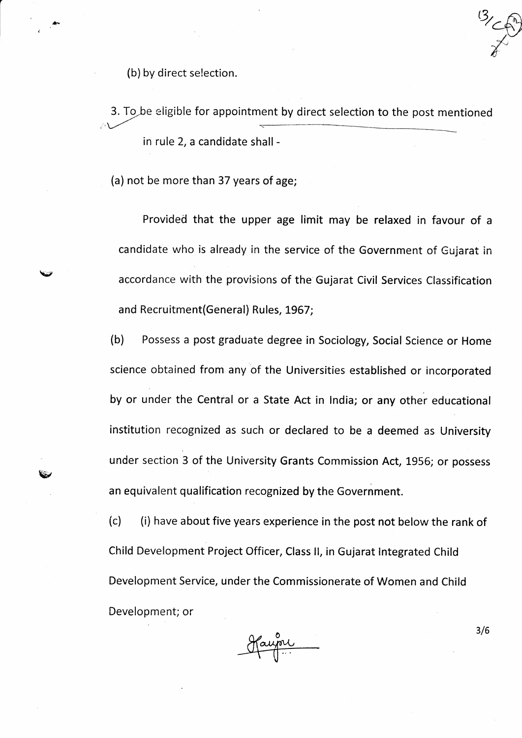(b) by direct selection.

 $\checkmark$ 

\*r.

BBr

3. To be eligible for appointment by direct selection to the post mentionec -t"  $\overline{\mathcal{L}}$ in rule 2, a candidate shall  $\ddot{\phantom{0}}$ 

(a) not be more than 37 years of age;

Provided that the upper age limit may be relaxed in favour of a candidate who is already in the service of the Government of Gujarat in accordance with the provisions of the Gujarat Civil Services Classification and Recruitment (General) Rules, 1967;

(b) Possess a post graduate degree in Sociology, Social Science or Home science obtained from any of the Universities established or incorporated by or under the Central or a State Act in lndia; or any other educational institution recognized as such or declared to be a deemed as University under section 3 of the University Grants Commission Act, 1956; or possess an equivalent qualification recognized by the Government.

 $(c)$  (i) have about five years experience in the post not below the rank of child Development Project officer, class ll, in Gujarat lntegrated child Development Service, under the Commissionerate of Women and Child Development; or

Haupu

3/6

".6lv  $\biggarrow$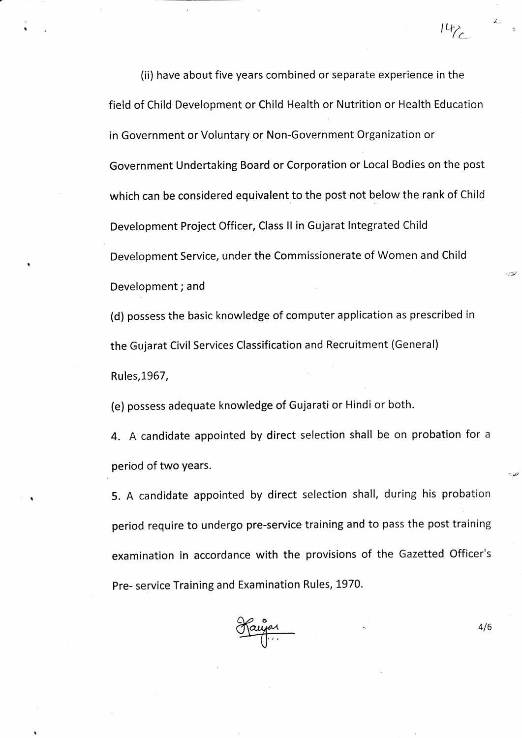(ii) have about five years combined or separate experience in the field of Child Development or Child Health or Nutrition or Health Education in Government or Voluntary or Non-Government Organization or Government Undertaking Board or Corporation or Local Bodies on the post which can be considered equivalent to the post not below the rank of Child Development Project Officer, Class ll in Gujarat lntegrated Child Development Service, under the Commissionerate of Women and Child Development; and

(d) possess the basic knowledge of computer application as prescribed in the Gujarat Civil Services Classification and Recruitment (General) Rules, 1967,

(e) possess adequate knowledge of Gujarati or Hindi or both.

4. A candidate appointed by direct selection shall be on probation for a period of two years.

5. A candidate appointed by direct selection shall, during his probation period require to undergo pre-service training and to pass the post training examination in accordance with the provisions of the Gazetted Officer's Pre- service Training and Examination Rules,1970.



 $4/6$ 

 $142$ 

 $\star$  .

' '"'\*9r'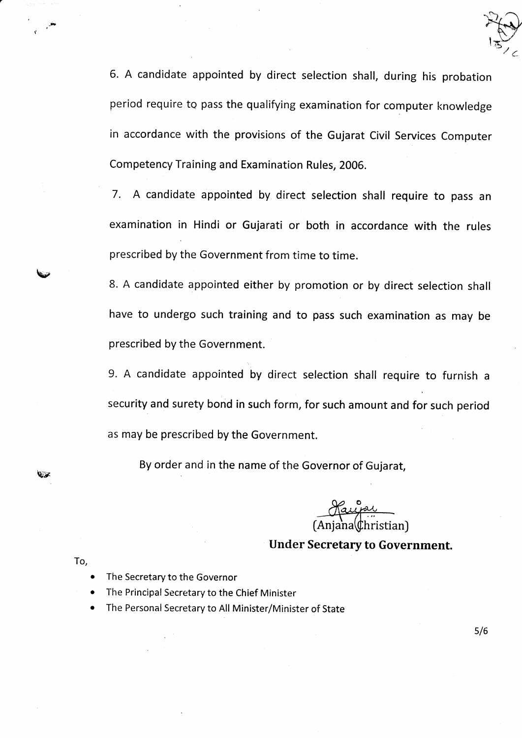

6. A candidate appointed by direct selection shall, during his probation period require to pass the qualifying examination for computer knowledge in accordance with the provisions of the Gujarat Civil Services Computer Competency Training and Examination Rules, 2006.

7. A candidate appointed by direct selection shall require to pass an examination in Hindi or Gujarati or both in accordance with the rules prescribed by the Government from time to time.

8. A candidate appointed either by promotion or by direct selection shall have to undergo such training and to pass such examination as may be prescribed by the Government.

9. A candidate appointed by direct selection shall require to furnish <sup>a</sup> security and surety bond in such form, for such amount and for such period as may be prescribed by the Government.

By order and in the name of the Governor of Gujarat,

[Anjana\\$hristian)

## Under Secretary to Government.

To,

E#

 $\cdot$ 

hw

- The Secretary to the Governor
- The Principal Secretary to the Chief Minister
- The Personal Secretary to All Minister/Minister of State

 $5/6$